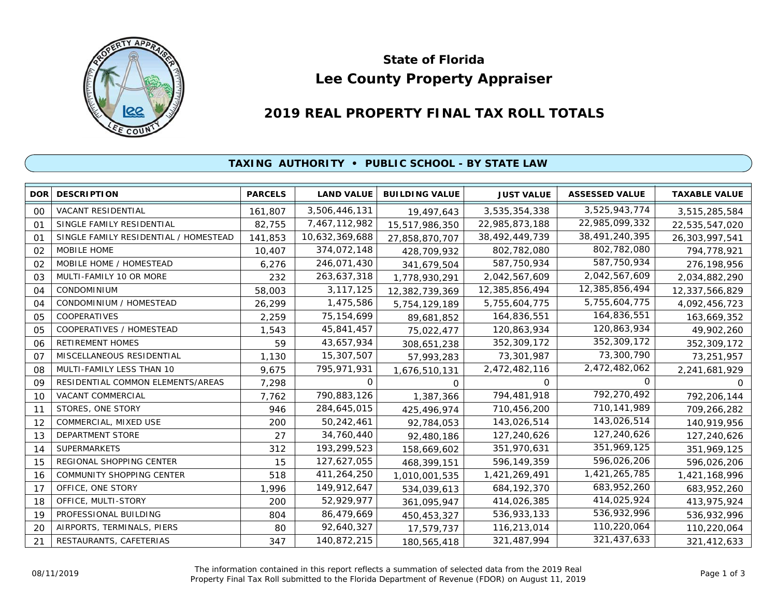

# **Lee County Property Appraiser State of Florida**

# **2019 REAL PROPERTY FINAL TAX ROLL TOTALS**

#### **TAXING AUTHORITY • PUBLIC SCHOOL - BY STATE LAW**

| <b>DOR</b>     | <b>DESCRIPTION</b>                    | <b>PARCELS</b> | <b>LAND VALUE</b> | <b>BUILDING VALUE</b> | <b>JUST VALUE</b> | <b>ASSESSED VALUE</b> | <b>TAXABLE VALUE</b> |
|----------------|---------------------------------------|----------------|-------------------|-----------------------|-------------------|-----------------------|----------------------|
| 00             | VACANT RESIDENTIAL                    | 161,807        | 3,506,446,131     | 19,497,643            | 3,535,354,338     | 3,525,943,774         | 3,515,285,584        |
| O <sub>1</sub> | SINGLE FAMILY RESIDENTIAL             | 82,755         | 7,467,112,982     | 15,517,986,350        | 22,985,873,188    | 22,985,099,332        | 22,535,547,020       |
| 01             | SINGLE FAMILY RESIDENTIAL / HOMESTEAD | 141,853        | 10,632,369,688    | 27,858,870,707        | 38,492,449,739    | 38,491,240,395        | 26,303,997,541       |
| 02             | MOBILE HOME                           | 10,407         | 374,072,148       | 428,709,932           | 802,782,080       | 802,782,080           | 794,778,921          |
| 02             | MOBILE HOME / HOMESTEAD               | 6,276          | 246,071,430       | 341,679,504           | 587,750,934       | 587,750,934           | 276,198,956          |
| 03             | MULTI-FAMILY 10 OR MORE               | 232            | 263,637,318       | 1,778,930,291         | 2,042,567,609     | 2,042,567,609         | 2,034,882,290        |
| 04             | CONDOMINIUM                           | 58,003         | 3,117,125         | 12,382,739,369        | 12,385,856,494    | 12,385,856,494        | 12,337,566,829       |
| 04             | CONDOMINIUM / HOMESTEAD               | 26,299         | 1,475,586         | 5,754,129,189         | 5,755,604,775     | 5,755,604,775         | 4,092,456,723        |
| 05             | COOPERATIVES                          | 2,259          | 75, 154, 699      | 89,681,852            | 164,836,551       | 164,836,551           | 163,669,352          |
| 05             | COOPERATIVES / HOMESTEAD              | 1,543          | 45,841,457        | 75,022,477            | 120,863,934       | 120,863,934           | 49,902,260           |
| 06             | RETIREMENT HOMES                      | 59             | 43,657,934        | 308,651,238           | 352,309,172       | 352,309,172           | 352,309,172          |
| O <sub>7</sub> | MISCELLANEOUS RESIDENTIAL             | 1,130          | 15,307,507        | 57,993,283            | 73,301,987        | 73,300,790            | 73,251,957           |
| 08             | MULTI-FAMILY LESS THAN 10             | 9,675          | 795,971,931       | 1,676,510,131         | 2,472,482,116     | 2,472,482,062         | 2,241,681,929        |
| 09             | RESIDENTIAL COMMON ELEMENTS/AREAS     | 7,298          | 0                 | 0                     | $\Omega$          | 0                     | <sup>o</sup>         |
| 10             | VACANT COMMERCIAL                     | 7,762          | 790,883,126       | 1,387,366             | 794,481,918       | 792,270,492           | 792,206,144          |
| 11             | STORES, ONE STORY                     | 946            | 284,645,015       | 425,496,974           | 710,456,200       | 710,141,989           | 709,266,282          |
| 12             | COMMERCIAL, MIXED USE                 | 200            | 50,242,461        | 92,784,053            | 143,026,514       | 143,026,514           | 140,919,956          |
| 13             | DEPARTMENT STORE                      | 27             | 34,760,440        | 92,480,186            | 127,240,626       | 127,240,626           | 127,240,626          |
| 14             | <b>SUPERMARKETS</b>                   | 312            | 193,299,523       | 158,669,602           | 351,970,631       | 351,969,125           | 351,969,125          |
| 15             | REGIONAL SHOPPING CENTER              | 15             | 127,627,055       | 468,399,151           | 596,149,359       | 596,026,206           | 596,026,206          |
| 16             | COMMUNITY SHOPPING CENTER             | 518            | 411,264,250       | 1,010,001,535         | 1,421,269,491     | 1,421,265,785         | 1,421,168,996        |
| 17             | OFFICE, ONE STORY                     | 1,996          | 149,912,647       | 534,039,613           | 684, 192, 370     | 683,952,260           | 683,952,260          |
| 18             | OFFICE, MULTI-STORY                   | 200            | 52,929,977        | 361,095,947           | 414,026,385       | 414,025,924           | 413,975,924          |
| 19             | PROFESSIONAL BUILDING                 | 804            | 86,479,669        | 450,453,327           | 536,933,133       | 536,932,996           | 536,932,996          |
| 20             | AIRPORTS, TERMINALS, PIERS            | 80             | 92,640,327        | 17,579,737            | 116,213,014       | 110,220,064           | 110,220,064          |
| 21             | RESTAURANTS, CAFETERIAS               | 347            | 140,872,215       | 180,565,418           | 321,487,994       | 321,437,633           | 321,412,633          |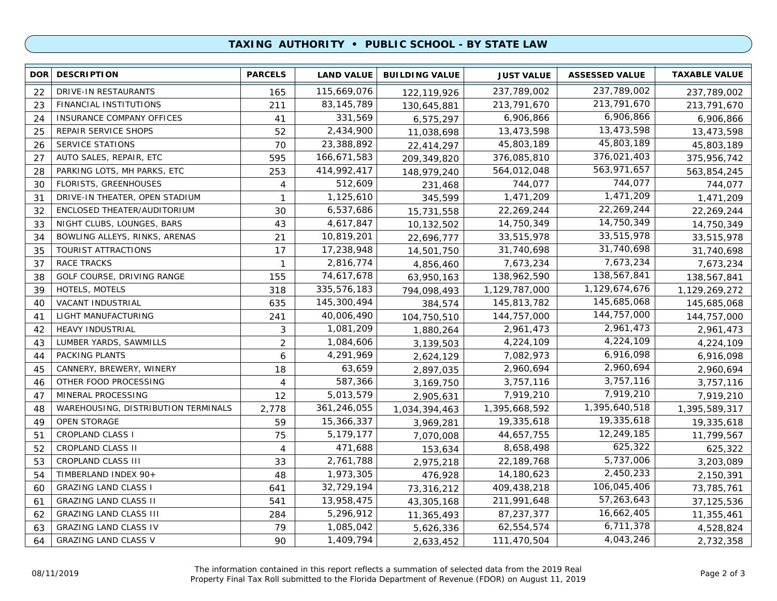## **TAXING AUTHORITY • PUBLIC SCHOOL - BY STATE LAW**

| <b>DOR</b> | <b>DESCRIPTION</b>                  | <b>PARCELS</b>    | <b>LAND VALUE</b> | <b>BUILDING VALUE</b> | <b>JUST VALUE</b> | <b>ASSESSED VALUE</b> | <b>TAXABLE VALUE</b> |
|------------|-------------------------------------|-------------------|-------------------|-----------------------|-------------------|-----------------------|----------------------|
| 22         | DRIVE-IN RESTAURANTS                | 165               | 115,669,076       | 122,119,926           | 237,789,002       | 237,789,002           | 237,789,002          |
| 23         | FINANCIAL INSTITUTIONS              | 211               | 83, 145, 789      | 130,645,881           | 213,791,670       | 213,791,670           | 213,791,670          |
| 24         | INSURANCE COMPANY OFFICES           | 41                | 331,569           | 6,575,297             | 6,906,866         | 6,906,866             | 6,906,866            |
| 25         | REPAIR SERVICE SHOPS                | 52                | 2,434,900         | 11,038,698            | 13,473,598        | 13,473,598            | 13,473,598           |
| 26         | <b>SERVICE STATIONS</b>             | 70                | 23,388,892        | 22,414,297            | 45,803,189        | 45,803,189            | 45,803,189           |
| 27         | AUTO SALES, REPAIR, ETC             | 595               | 166,671,583       | 209,349,820           | 376,085,810       | 376,021,403           | 375,956,742          |
| 28         | PARKING LOTS, MH PARKS, ETC         | 253               | 414,992,417       | 148,979,240           | 564,012,048       | 563,971,657           | 563,854,245          |
| 30         | <b>FLORISTS, GREENHOUSES</b>        | $\overline{4}$    | 512,609           | 231,468               | 744,077           | 744,077               | 744,077              |
| 31         | DRIVE-IN THEATER, OPEN STADIUM      | $\mathbf{1}$      | 1,125,610         | 345,599               | 1,471,209         | 1,471,209             | 1,471,209            |
| 32         | ENCLOSED THEATER/AUDITORIUM         | 30                | 6,537,686         | 15,731,558            | 22,269,244        | 22,269,244            | 22,269,244           |
| 33         | NIGHT CLUBS, LOUNGES, BARS          | 43                | 4,617,847         | 10,132,502            | 14,750,349        | 14,750,349            | 14,750,349           |
| 34         | BOWLING ALLEYS, RINKS, ARENAS       | 21                | 10,819,201        | 22,696,777            | 33,515,978        | 33,515,978            | 33,515,978           |
| 35         | TOURIST ATTRACTIONS                 | 17                | 17,238,948        | 14,501,750            | 31,740,698        | 31,740,698            | 31,740,698           |
| 37         | <b>RACE TRACKS</b>                  | $\mathbf{1}$      | 2,816,774         | 4,856,460             | 7,673,234         | 7,673,234             | 7,673,234            |
| 38         | GOLF COURSE, DRIVING RANGE          | 155               | 74,617,678        | 63,950,163            | 138,962,590       | 138,567,841           | 138,567,841          |
| 39         | HOTELS, MOTELS                      | 318               | 335,576,183       | 794,098,493           | 1,129,787,000     | 1,129,674,676         | 1,129,269,272        |
| 40         | VACANT INDUSTRIAL                   | 635               | 145,300,494       | 384,574               | 145,813,782       | 145,685,068           | 145,685,068          |
| 41         | LIGHT MANUFACTURING                 | 241               | 40,006,490        | 104,750,510           | 144,757,000       | 144,757,000           | 144,757,000          |
| 42         | HEAVY INDUSTRIAL                    | 3                 | 1,081,209         | 1,880,264             | 2,961,473         | 2,961,473             | 2,961,473            |
| 43         | LUMBER YARDS, SAWMILLS              | $\overline{2}$    | 1,084,606         | 3,139,503             | 4,224,109         | 4,224,109             | 4,224,109            |
| 44         | PACKING PLANTS                      | 6                 | 4,291,969         | 2,624,129             | 7,082,973         | 6,916,098             | 6,916,098            |
| 45         | CANNERY, BREWERY, WINERY            | 18                | 63,659            | 2,897,035             | 2,960,694         | 2,960,694             | 2,960,694            |
| 46         | OTHER FOOD PROCESSING               | 4                 | 587,366           | 3,169,750             | 3,757,116         | 3,757,116             | 3,757,116            |
| 47         | MINERAL PROCESSING                  | $12 \overline{ }$ | 5,013,579         | 2,905,631             | 7,919,210         | 7,919,210             | 7,919,210            |
| 48         | WAREHOUSING, DISTRIBUTION TERMINALS | 2,778             | 361,246,055       | 1,034,394,463         | 1,395,668,592     | 1,395,640,518         | 1,395,589,317        |
| 49         | <b>OPEN STORAGE</b>                 | 59                | 15,366,337        | 3,969,281             | 19,335,618        | 19,335,618            | 19,335,618           |
| 51         | <b>CROPLAND CLASS I</b>             | 75                | 5,179,177         | 7,070,008             | 44,657,755        | 12,249,185            | 11,799,567           |
| 52         | CROPLAND CLASS II                   | 4                 | 471,688           | 153,634               | 8,658,498         | 625,322               | 625,322              |
| 53         | CROPLAND CLASS III                  | 33                | 2,761,788         | 2,975,218             | 22,189,768        | 5,737,006             | 3,203,089            |
| 54         | TIMBERLAND INDEX 90+                | 48                | 1,973,305         | 476,928               | 14,180,623        | 2,450,233             | 2,150,391            |
| 60         | <b>GRAZING LAND CLASS I</b>         | 641               | 32,729,194        | 73,316,212            | 409,438,218       | 106,045,406           | 73,785,761           |
| 61         | <b>GRAZING LAND CLASS II</b>        | 541               | 13,958,475        | 43,305,168            | 211,991,648       | 57,263,643            | 37, 125, 536         |
| 62         | <b>GRAZING LAND CLASS III</b>       | 284               | 5,296,912         | 11,365,493            | 87,237,377        | 16,662,405            | 11,355,461           |
| 63         | <b>GRAZING LAND CLASS IV</b>        | 79                | 1,085,042         | 5,626,336             | 62,554,574        | 6,711,378             | 4,528,824            |
| 64         | <b>GRAZING LAND CLASS V</b>         | 90                | 1,409,794         | 2,633,452             | 111,470,504       | 4,043,246             | 2,732,358            |